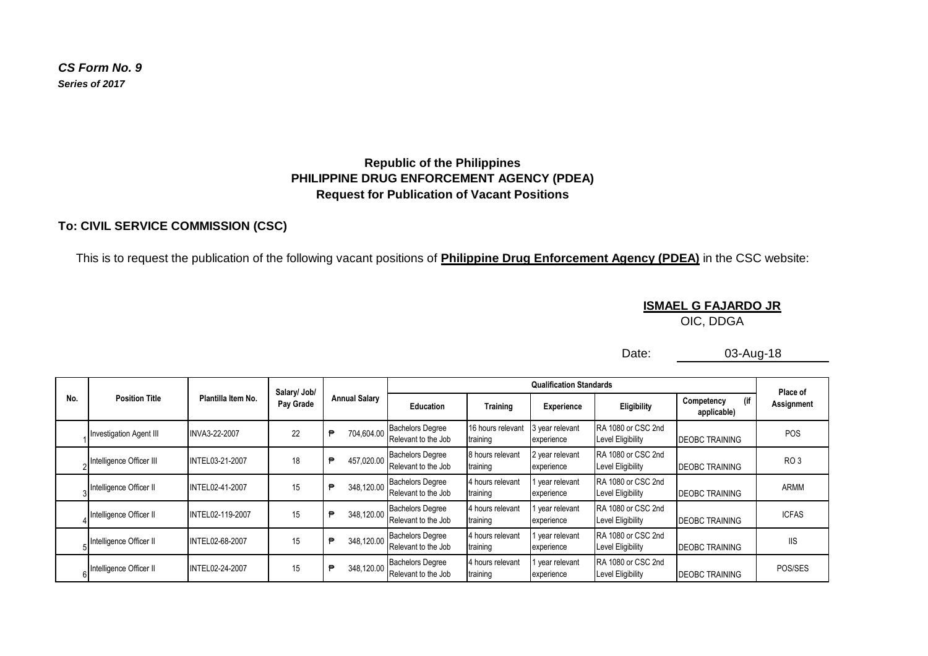*CS Form No. 9 Series of 2017*

#### **Republic of the Philippines PHILIPPINE DRUG ENFORCEMENT AGENCY (PDEA) Request for Publication of Vacant Positions**

#### **To: CIVIL SERVICE COMMISSION (CSC)**

This is to request the publication of the following vacant positions of **Philippine Drug Enforcement Agency (PDEA)** in the CSC website:

## **ISMAEL G FAJARDO JR**

OIC, DDGA

Date:

03-Aug-18

|     |                                |                    | Salary/ Job/ |                      |                                                |                               | Place of                      |                                                |                                  |                 |
|-----|--------------------------------|--------------------|--------------|----------------------|------------------------------------------------|-------------------------------|-------------------------------|------------------------------------------------|----------------------------------|-----------------|
| No. | <b>Position Title</b>          | Plantilla Item No. | Pay Grade    | <b>Annual Salary</b> | <b>Education</b>                               | <b>Training</b>               | Experience                    | Eligibility                                    | (if<br>Competency<br>applicable) | Assignment      |
|     | <b>Investigation Agent III</b> | INVA3-22-2007      | 22           | 704.604.00<br>€      | <b>Bachelors Degree</b><br>Relevant to the Job | 16 hours relevant<br>training | 3 year relevant<br>experience | RA 1080 or CSC 2nd<br>Level Eligibility        | <b>DEOBC TRAINING</b>            | POS             |
|     | Intelligence Officer III       | INTEL03-21-2007    | 18           | 457,020.00<br>₿      | <b>Bachelors Degree</b><br>Relevant to the Job | 8 hours relevant<br>training  | 2 year relevant<br>experience | RA 1080 or CSC 2nd<br><b>Level Eligibility</b> | <b>DEOBC TRAINING</b>            | RO <sub>3</sub> |
|     | Intelligence Officer II        | INTEL02-41-2007    | 15           | 348,120.00<br>₽      | <b>Bachelors Degree</b><br>Relevant to the Job | 4 hours relevant<br>training  | vear relevant<br>experience   | RA 1080 or CSC 2nd<br><b>Level Eligibility</b> | <b>DEOBC TRAINING</b>            | ARMM            |
|     | Intelligence Officer II        | INTEL02-119-2007   | 15           | 348,120.00<br>₽      | <b>Bachelors Degree</b><br>Relevant to the Job | 4 hours relevant<br>training  | vear relevant<br>experience   | RA 1080 or CSC 2nd<br>Level Eligibility        | <b>DEOBC TRAINING</b>            | <b>ICFAS</b>    |
|     | Intelligence Officer II        | INTEL02-68-2007    | 15           | 348,120.00<br>₿      | <b>Bachelors Degree</b><br>Relevant to the Job | 4 hours relevant<br>training  | year relevant<br>experience   | RA 1080 or CSC 2nd<br>Level Eligibility        | <b>DEOBC TRAINING</b>            | <b>IIS</b>      |
|     | Intelligence Officer II        | INTEL02-24-2007    | 15           | 348,120.00<br>€      | <b>Bachelors Degree</b><br>Relevant to the Job | 4 hours relevant<br>training  | year relevant<br>experience   | RA 1080 or CSC 2nd<br>Level Eligibility        | <b>DEOBC TRAINING</b>            | POS/SES         |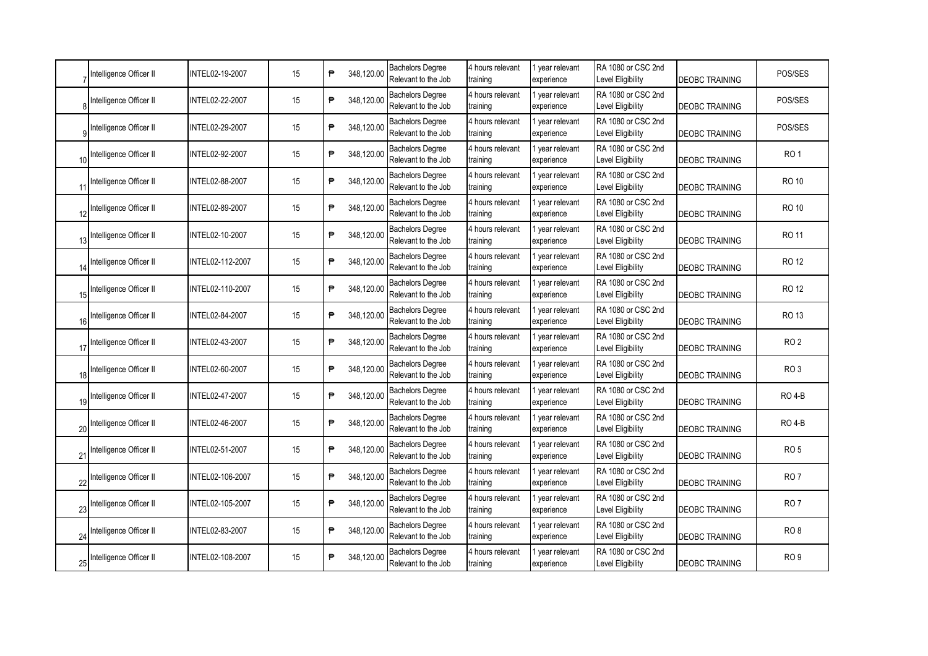|    | Intelligence Officer II | INTEL02-19-2007  | 15 | ₱ | 348,120.00 | <b>Bachelors Degree</b><br>Relevant to the Job | 4 hours relevant<br>training | year relevant<br>experience   | RA 1080 or CSC 2nd<br>Level Eligibility        | <b>DEOBC TRAINING</b> | POS/SES         |
|----|-------------------------|------------------|----|---|------------|------------------------------------------------|------------------------------|-------------------------------|------------------------------------------------|-----------------------|-----------------|
|    | Intelligence Officer II | INTEL02-22-2007  | 15 | ₱ | 348,120.00 | <b>Bachelors Degree</b><br>Relevant to the Job | 4 hours relevant<br>training | vear relevant<br>experience   | RA 1080 or CSC 2nd<br>Level Eligibility        | DEOBC TRAINING        | POS/SES         |
|    | Intelligence Officer II | INTEL02-29-2007  | 15 | ₱ | 348,120.00 | <b>Bachelors Degree</b><br>Relevant to the Job | 4 hours relevant<br>training | year relevant<br>experience   | RA 1080 or CSC 2nd<br>Level Eligibility        | <b>DEOBC TRAINING</b> | POS/SES         |
| 10 | Intelligence Officer II | INTEL02-92-2007  | 15 | ₱ | 348,120.00 | <b>Bachelors Degree</b><br>Relevant to the Job | 4 hours relevant<br>training | year relevant<br>experience   | RA 1080 or CSC 2nd<br>Level Eligibility        | <b>DEOBC TRAINING</b> | RO <sub>1</sub> |
| 11 | Intelligence Officer II | INTEL02-88-2007  | 15 | ₱ | 348,120.00 | <b>Bachelors Degree</b><br>Relevant to the Job | 4 hours relevant<br>training | 1 year relevant<br>experience | RA 1080 or CSC 2nd<br>Level Eligibility        | <b>DEOBC TRAINING</b> | <b>RO 10</b>    |
|    | Intelligence Officer II | INTEL02-89-2007  | 15 | ₱ | 348,120.00 | <b>Bachelors Degree</b><br>Relevant to the Job | 4 hours relevant<br>training | year relevant<br>experience   | RA 1080 or CSC 2nd<br>Level Eligibility        | <b>DEOBC TRAINING</b> | <b>RO 10</b>    |
|    | Intelligence Officer II | INTEL02-10-2007  | 15 | ₱ | 348,120.00 | <b>Bachelors Degree</b><br>Relevant to the Job | 4 hours relevant<br>training | 1 year relevant<br>experience | RA 1080 or CSC 2nd<br><b>Level Eligibility</b> | <b>DEOBC TRAINING</b> | <b>RO 11</b>    |
| 14 | Intelligence Officer II | INTEL02-112-2007 | 15 | ₱ | 348,120.00 | <b>Bachelors Degree</b><br>Relevant to the Job | 4 hours relevant<br>training | 1 year relevant<br>experience | RA 1080 or CSC 2nd<br>Level Eligibility        | <b>DEOBC TRAINING</b> | RO 12           |
| 15 | Intelligence Officer II | INTEL02-110-2007 | 15 | ₱ | 348,120.00 | <b>Bachelors Degree</b><br>Relevant to the Job | 4 hours relevant<br>training | 1 year relevant<br>experience | RA 1080 or CSC 2nd<br><b>Level Eligibility</b> | <b>DEOBC TRAINING</b> | <b>RO 12</b>    |
| 16 | Intelligence Officer II | INTEL02-84-2007  | 15 | ₱ | 348,120.00 | <b>Bachelors Degree</b><br>Relevant to the Job | 4 hours relevant<br>training | 1 year relevant<br>experience | RA 1080 or CSC 2nd<br>Level Eligibility        | <b>DEOBC TRAINING</b> | <b>RO 13</b>    |
| 17 | Intelligence Officer II | INTEL02-43-2007  | 15 | ₱ | 348,120.00 | <b>Bachelors Degree</b><br>Relevant to the Job | 4 hours relevant<br>training | 1 year relevant<br>experience | RA 1080 or CSC 2nd<br>Level Eligibility        | <b>DEOBC TRAINING</b> | RO <sub>2</sub> |
| 18 | Intelligence Officer II | INTEL02-60-2007  | 15 | ₱ | 348,120.00 | <b>Bachelors Degree</b><br>Relevant to the Job | 4 hours relevant<br>training | 1 year relevant<br>experience | RA 1080 or CSC 2nd<br>Level Eligibility        | DEOBC TRAINING        | RO <sub>3</sub> |
| 19 | Intelligence Officer II | INTEL02-47-2007  | 15 | ₱ | 348,120.00 | <b>Bachelors Degree</b><br>Relevant to the Job | 4 hours relevant<br>training | year relevant<br>experience   | RA 1080 or CSC 2nd<br><b>Level Eligibility</b> | <b>DEOBC TRAINING</b> | <b>RO 4-B</b>   |
| 20 | Intelligence Officer II | INTEL02-46-2007  | 15 | ₱ | 348,120.00 | <b>Bachelors Degree</b><br>Relevant to the Job | 4 hours relevant<br>training | year relevant<br>experience   | RA 1080 or CSC 2nd<br>Level Eligibility        | <b>DEOBC TRAINING</b> | <b>RO 4-B</b>   |
| 21 | Intelligence Officer II | INTEL02-51-2007  | 15 | ₱ | 348,120.00 | <b>Bachelors Degree</b><br>Relevant to the Job | 4 hours relevant<br>training | vear relevant<br>experience   | RA 1080 or CSC 2nd<br>Level Eligibility        | <b>DEOBC TRAINING</b> | RO <sub>5</sub> |
| 22 | Intelligence Officer II | INTEL02-106-2007 | 15 | ₱ | 348,120.00 | <b>Bachelors Degree</b><br>Relevant to the Job | 4 hours relevant<br>training | year relevant<br>experience   | RA 1080 or CSC 2nd<br>Level Eligibility        | <b>DEOBC TRAINING</b> | RO <sub>7</sub> |
| 23 | Intelligence Officer II | INTEL02-105-2007 | 15 | ₱ | 348,120.00 | <b>Bachelors Degree</b><br>Relevant to the Job | 4 hours relevant<br>training | year relevant<br>experience   | RA 1080 or CSC 2nd<br>Level Eligibility        | <b>DEOBC TRAINING</b> | RO <sub>7</sub> |
| 24 | Intelligence Officer II | INTEL02-83-2007  | 15 | ₱ | 348,120.00 | <b>Bachelors Degree</b><br>Relevant to the Job | 4 hours relevant<br>training | 1 year relevant<br>experience | RA 1080 or CSC 2nd<br>Level Eligibility        | <b>DEOBC TRAINING</b> | RO <sub>8</sub> |
|    | Intelligence Officer II | INTEL02-108-2007 | 15 | ₱ | 348,120.00 | <b>Bachelors Degree</b><br>Relevant to the Job | 4 hours relevant<br>training | year relevant<br>experience   | RA 1080 or CSC 2nd<br>Level Eligibility        | <b>DEOBC TRAINING</b> | RO <sub>9</sub> |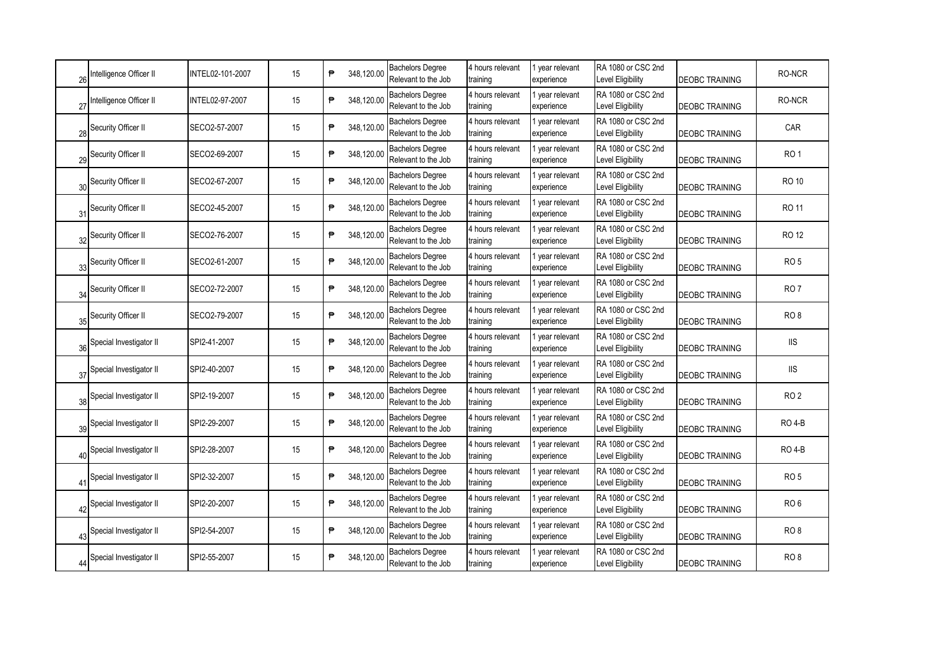| 26          | ntelligence Officer II  | INTEL02-101-2007 | 15 | ₱<br>348,120.00 | <b>Bachelors Degree</b><br>Relevant to the Job | 4 hours relevant<br>training | I year relevant<br>experience | RA 1080 or CSC 2nd<br>Level Eligibility | <b>DEOBC TRAINING</b> | RO-NCR          |
|-------------|-------------------------|------------------|----|-----------------|------------------------------------------------|------------------------------|-------------------------------|-----------------------------------------|-----------------------|-----------------|
| 27          | ntelligence Officer II  | INTEL02-97-2007  | 15 | ₱<br>348,120.00 | <b>Bachelors Degree</b><br>Relevant to the Job | 4 hours relevant<br>training | year relevant<br>experience   | RA 1080 or CSC 2nd<br>Level Eligibility | <b>DEOBC TRAINING</b> | RO-NCR          |
| 28          | Security Officer II     | SECO2-57-2007    | 15 | ₱<br>348,120.00 | <b>Bachelors Degree</b><br>Relevant to the Job | 4 hours relevant<br>training | year relevant<br>experience   | RA 1080 or CSC 2nd<br>Level Eligibility | <b>DEOBC TRAINING</b> | CAR             |
| 29          | Security Officer II     | SECO2-69-2007    | 15 | ₱<br>348,120.00 | <b>Bachelors Degree</b><br>Relevant to the Job | 4 hours relevant<br>training | year relevant<br>experience   | RA 1080 or CSC 2nd<br>Level Eligibility | <b>DEOBC TRAINING</b> | RO <sub>1</sub> |
| 30          | Security Officer II     | SECO2-67-2007    | 15 | ₱<br>348,120.00 | <b>Bachelors Degree</b><br>Relevant to the Job | 4 hours relevant<br>training | I year relevant<br>experience | RA 1080 or CSC 2nd<br>Level Eligibility | <b>DEOBC TRAINING</b> | <b>RO 10</b>    |
| 31          | Security Officer II     | SECO2-45-2007    | 15 | ₱<br>348,120.00 | <b>Bachelors Degree</b><br>Relevant to the Job | 4 hours relevant<br>training | I year relevant<br>experience | RA 1080 or CSC 2nd<br>Level Eligibility | <b>DEOBC TRAINING</b> | RO 11           |
| 32          | Security Officer II     | SECO2-76-2007    | 15 | ₱<br>348,120.00 | <b>Bachelors Degree</b><br>Relevant to the Job | 4 hours relevant<br>training | I year relevant<br>experience | RA 1080 or CSC 2nd<br>Level Eligibility | <b>DEOBC TRAINING</b> | RO 12           |
| 33          | Security Officer II     | SECO2-61-2007    | 15 | 348,120.00<br>₱ | <b>Bachelors Degree</b><br>Relevant to the Job | 4 hours relevant<br>training | I year relevant<br>experience | RA 1080 or CSC 2nd<br>Level Eligibility | <b>DEOBC TRAINING</b> | RO <sub>5</sub> |
| 34          | Security Officer II     | SECO2-72-2007    | 15 | 348,120.00<br>₱ | <b>Bachelors Degree</b><br>Relevant to the Job | 4 hours relevant<br>training | I year relevant<br>experience | RA 1080 or CSC 2nd<br>Level Eligibility | <b>DEOBC TRAINING</b> | RO <sub>7</sub> |
| 35          | Security Officer II     | SECO2-79-2007    | 15 | ₱<br>348,120.00 | <b>Bachelors Degree</b><br>Relevant to the Job | 4 hours relevant<br>training | 1 year relevant<br>experience | RA 1080 or CSC 2nd<br>Level Eligibility | <b>DEOBC TRAINING</b> | RO <sub>8</sub> |
| 36          | Special Investigator II | SPI2-41-2007     | 15 | 348,120.00<br>₱ | <b>Bachelors Degree</b><br>Relevant to the Job | 4 hours relevant<br>training | 1 year relevant<br>experience | RA 1080 or CSC 2nd<br>Level Eligibility | <b>DEOBC TRAINING</b> | <b>IIS</b>      |
| 37          | Special Investigator II | SPI2-40-2007     | 15 | 348,120.00<br>₱ | <b>Bachelors Degree</b><br>Relevant to the Job | 4 hours relevant<br>training | I year relevant<br>experience | RA 1080 or CSC 2nd<br>Level Eligibility | DEOBC TRAINING        | <b>IIS</b>      |
| 38          | Special Investigator II | SPI2-19-2007     | 15 | ₱<br>348,120.00 | <b>Bachelors Degree</b><br>Relevant to the Job | 4 hours relevant<br>training | year relevant<br>experience   | RA 1080 or CSC 2nd<br>Level Eligibility | <b>DEOBC TRAINING</b> | RO <sub>2</sub> |
| 39          | Special Investigator II | SPI2-29-2007     | 15 | 348,120.00<br>₱ | <b>Bachelors Degree</b><br>Relevant to the Job | 4 hours relevant<br>training | year relevant<br>experience   | RA 1080 or CSC 2nd<br>Level Eligibility | <b>DEOBC TRAINING</b> | <b>RO 4-B</b>   |
| 40          | Special Investigator II | SPI2-28-2007     | 15 | ₱<br>348,120.00 | <b>Bachelors Degree</b><br>Relevant to the Job | 4 hours relevant<br>training | year relevant<br>experience   | RA 1080 or CSC 2nd<br>Level Eligibility | <b>DEOBC TRAINING</b> | <b>RO 4-B</b>   |
| $4^{\circ}$ | Special Investigator II | SPI2-32-2007     | 15 | ₱<br>348,120.00 | <b>Bachelors Degree</b><br>Relevant to the Job | 4 hours relevant<br>training | year relevant<br>experience   | RA 1080 or CSC 2nd<br>Level Eligibility | <b>DEOBC TRAINING</b> | <b>RO 5</b>     |
| 42          | Special Investigator II | SPI2-20-2007     | 15 | ₱<br>348,120.00 | <b>Bachelors Degree</b><br>Relevant to the Job | 4 hours relevant<br>training | year relevant<br>experience   | RA 1080 or CSC 2nd<br>Level Eligibility | <b>DEOBC TRAINING</b> | RO <sub>6</sub> |
| 43          | Special Investigator II | SPI2-54-2007     | 15 | ₱<br>348,120.00 | <b>Bachelors Degree</b><br>Relevant to the Job | 4 hours relevant<br>training | year relevant<br>experience   | RA 1080 or CSC 2nd<br>Level Eligibility | <b>DEOBC TRAINING</b> | RO <sub>8</sub> |
|             | Special Investigator II | SPI2-55-2007     | 15 | ₱<br>348,120.00 | <b>Bachelors Degree</b><br>Relevant to the Job | 4 hours relevant<br>training | year relevant<br>experience   | RA 1080 or CSC 2nd<br>Level Eligibility | <b>DEOBC TRAINING</b> | RO <sub>8</sub> |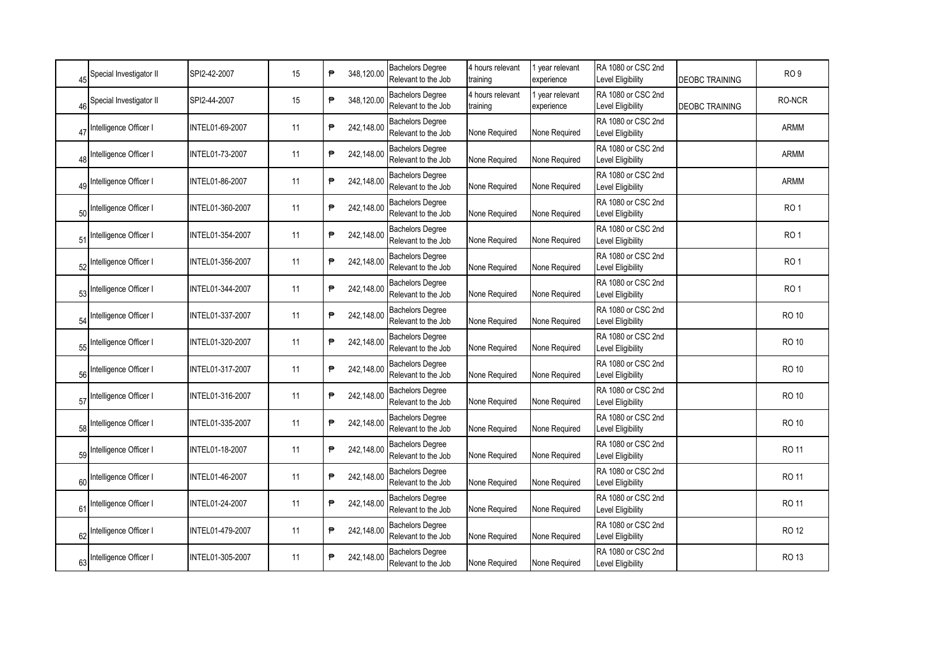| 45             | Special Investigator II   | SPI2-42-2007     | 15 | ₱ | 348,120.00 | <b>Bachelors Degree</b><br>Relevant to the Job | 4 hours relevant<br>training | year relevant<br>experience | RA 1080 or CSC 2nd<br>Level Eligibility        | <b>DEOBC TRAINING</b> | RO <sub>9</sub> |
|----------------|---------------------------|------------------|----|---|------------|------------------------------------------------|------------------------------|-----------------------------|------------------------------------------------|-----------------------|-----------------|
| 46             | Special Investigator II   | SPI2-44-2007     | 15 | ₱ | 348,120.00 | <b>Bachelors Degree</b><br>Relevant to the Job | 4 hours relevant<br>training | vear relevant<br>experience | RA 1080 or CSC 2nd<br>Level Eligibility        | <b>DEOBC TRAINING</b> | RO-NCR          |
| 47             | Intelligence Officer I    | INTEL01-69-2007  | 11 | ₱ | 242,148.00 | <b>Bachelors Degree</b><br>Relevant to the Job | None Required                | None Required               | RA 1080 or CSC 2nd<br><b>Level Eligibility</b> |                       | <b>ARMM</b>     |
| 48             | Intelligence Officer I    | INTEL01-73-2007  | 11 | ₱ | 242,148.00 | <b>Bachelors Degree</b><br>Relevant to the Job | None Required                | None Required               | RA 1080 or CSC 2nd<br>Level Eligibility        |                       | <b>ARMM</b>     |
| 4S             | Intelligence Officer I    | INTEL01-86-2007  | 11 | ₱ | 242,148.00 | <b>Bachelors Degree</b><br>Relevant to the Job | None Required                | None Required               | RA 1080 or CSC 2nd<br>Level Eligibility        |                       | <b>ARMM</b>     |
| 50             | Intelligence Officer I    | INTEL01-360-2007 | 11 | ₱ | 242,148.00 | <b>Bachelors Degree</b><br>Relevant to the Job | None Required                | None Required               | RA 1080 or CSC 2nd<br>Level Eligibility        |                       | RO <sub>1</sub> |
| 51             | Intelligence Officer I    | INTEL01-354-2007 | 11 | ₱ | 242,148.00 | <b>Bachelors Degree</b><br>Relevant to the Job | None Required                | None Required               | RA 1080 or CSC 2nd<br>Level Eligibility        |                       | RO <sub>1</sub> |
|                | 52 Intelligence Officer I | INTEL01-356-2007 | 11 | ₱ | 242,148.00 | <b>Bachelors Degree</b><br>Relevant to the Job | None Required                | None Required               | RA 1080 or CSC 2nd<br><b>Level Eligibility</b> |                       | RO <sub>1</sub> |
|                | 53 Intelligence Officer I | INTEL01-344-2007 | 11 | ₱ | 242,148.00 | <b>Bachelors Degree</b><br>Relevant to the Job | None Required                | None Required               | RA 1080 or CSC 2nd<br>Level Eligibility        |                       | RO <sub>1</sub> |
| 54             | Intelligence Officer I    | INTEL01-337-2007 | 11 | ₱ | 242,148.00 | <b>Bachelors Degree</b><br>Relevant to the Job | None Required                | None Required               | RA 1080 or CSC 2nd<br>Level Eligibility        |                       | <b>RO 10</b>    |
| 55             | Intelligence Officer I    | INTEL01-320-2007 | 11 | ₱ | 242,148.00 | <b>Bachelors Degree</b><br>Relevant to the Job | None Required                | None Required               | RA 1080 or CSC 2nd<br>Level Eligibility        |                       | <b>RO 10</b>    |
| 56             | Intelligence Officer I    | INTEL01-317-2007 | 11 | ₱ | 242,148.00 | <b>Bachelors Degree</b><br>Relevant to the Job | None Required                | None Required               | RA 1080 or CSC 2nd<br>Level Eligibility        |                       | <b>RO 10</b>    |
| 57             | Intelligence Officer I    | INTEL01-316-2007 | 11 | ₱ | 242,148.00 | <b>Bachelors Degree</b><br>Relevant to the Job | None Required                | None Required               | RA 1080 or CSC 2nd<br>Level Eligibility        |                       | <b>RO 10</b>    |
| 58             | Intelligence Officer I    | INTEL01-335-2007 | 11 | ₱ | 242,148.00 | <b>Bachelors Degree</b><br>Relevant to the Job | None Required                | None Required               | RA 1080 or CSC 2nd<br><b>Level Eligibility</b> |                       | <b>RO 10</b>    |
| 59             | Intelligence Officer I    | INTEL01-18-2007  | 11 | ₱ | 242,148.00 | <b>Bachelors Degree</b><br>Relevant to the Job | None Required                | None Required               | RA 1080 or CSC 2nd<br>Level Eligibility        |                       | RO 11           |
| 60             | Intelligence Officer I    | INTEL01-46-2007  | 11 | ₱ | 242,148.00 | <b>Bachelors Degree</b><br>Relevant to the Job | None Required                | None Required               | RA 1080 or CSC 2nd<br><b>Level Eligibility</b> |                       | RO 11           |
| 6 <sup>′</sup> | Intelligence Officer I    | INTEL01-24-2007  | 11 | ₱ | 242,148.00 | <b>Bachelors Degree</b><br>Relevant to the Job | None Required                | None Required               | RA 1080 or CSC 2nd<br>Level Eligibility        |                       | <b>RO 11</b>    |
| 62             | Intelligence Officer I    | INTEL01-479-2007 | 11 | ₱ | 242,148.00 | <b>Bachelors Degree</b><br>Relevant to the Job | None Required                | None Required               | RA 1080 or CSC 2nd<br><b>Level Eligibility</b> |                       | <b>RO 12</b>    |
|                | Intelligence Officer I    | INTEL01-305-2007 | 11 | ₱ | 242,148.00 | <b>Bachelors Degree</b><br>Relevant to the Job | None Required                | None Required               | RA 1080 or CSC 2nd<br>Level Eligibility        |                       | <b>RO 13</b>    |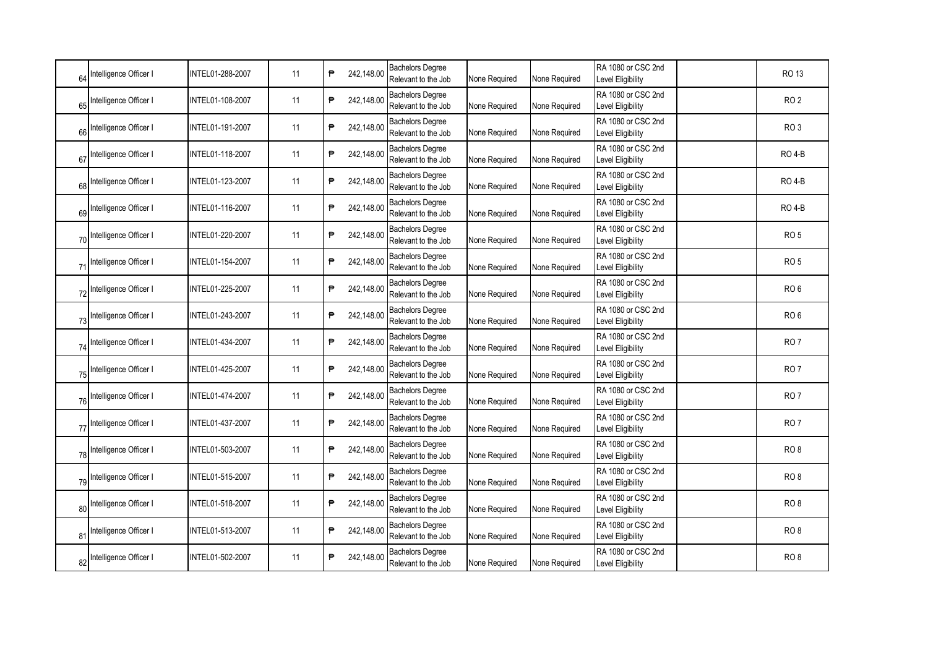| 64             | Intelligence Officer I    | INTEL01-288-2007 | 11 | ₱ | 242,148.00 | <b>Bachelors Degree</b><br>Relevant to the Job | None Required | None Required | RA 1080 or CSC 2nd<br>Level Eligibility        | <b>RO 13</b>    |
|----------------|---------------------------|------------------|----|---|------------|------------------------------------------------|---------------|---------------|------------------------------------------------|-----------------|
| 65             | Intelligence Officer I    | INTEL01-108-2007 | 11 | ₱ | 242,148.00 | <b>Bachelors Degree</b><br>Relevant to the Job | None Required | None Required | RA 1080 or CSC 2nd<br>Level Eligibility        | RO <sub>2</sub> |
| 66             | Intelligence Officer I    | INTEL01-191-2007 | 11 | ₱ | 242,148.00 | <b>Bachelors Degree</b><br>Relevant to the Job | None Required | None Required | RA 1080 or CSC 2nd<br>Level Eligibility        | RO <sub>3</sub> |
| 67             | Intelligence Officer I    | INTEL01-118-2007 | 11 | ₱ | 242,148.00 | <b>Bachelors Degree</b><br>Relevant to the Job | None Required | None Required | RA 1080 or CSC 2nd<br>Level Eligibility        | <b>RO 4-B</b>   |
| 68             | Intelligence Officer I    | INTEL01-123-2007 | 11 | ₱ | 242,148.00 | <b>Bachelors Degree</b><br>Relevant to the Job | None Required | None Required | RA 1080 or CSC 2nd<br>Level Eligibility        | <b>RO 4-B</b>   |
| 69             | Intelligence Officer I    | INTEL01-116-2007 | 11 | ₱ | 242,148.00 | <b>Bachelors Degree</b><br>Relevant to the Job | None Required | None Required | RA 1080 or CSC 2nd<br>Level Eligibility        | <b>RO 4-B</b>   |
| 70             | Intelligence Officer I    | INTEL01-220-2007 | 11 | ₱ | 242,148.00 | <b>Bachelors Degree</b><br>Relevant to the Job | None Required | None Required | RA 1080 or CSC 2nd<br>Level Eligibility        | RO <sub>5</sub> |
| 71             | Intelligence Officer I    | INTEL01-154-2007 | 11 | ₱ | 242,148.00 | <b>Bachelors Degree</b><br>Relevant to the Job | None Required | None Required | RA 1080 or CSC 2nd<br><b>Level Eligibility</b> | RO <sub>5</sub> |
| 72             | Intelligence Officer I    | INTEL01-225-2007 | 11 | ₱ | 242,148.00 | <b>Bachelors Degree</b><br>Relevant to the Job | None Required | None Required | RA 1080 or CSC 2nd<br><b>Level Eligibility</b> | RO <sub>6</sub> |
| 73             | Intelligence Officer I    | INTEL01-243-2007 | 11 | ₱ | 242,148.00 | <b>Bachelors Degree</b><br>Relevant to the Job | None Required | None Required | RA 1080 or CSC 2nd<br>Level Eligibility        | RO <sub>6</sub> |
| 74             | Intelligence Officer I    | INTEL01-434-2007 | 11 | ₱ | 242,148.00 | <b>Bachelors Degree</b><br>Relevant to the Job | None Required | None Required | RA 1080 or CSC 2nd<br><b>Level Eligibility</b> | RO <sub>7</sub> |
| 75             | Intelligence Officer I    | INTEL01-425-2007 | 11 | ₱ | 242,148.00 | <b>Bachelors Degree</b><br>Relevant to the Job | None Required | None Required | RA 1080 or CSC 2nd<br>Level Eligibility        | <b>RO 7</b>     |
| 76             | Intelligence Officer I    | INTEL01-474-2007 | 11 | ₱ | 242,148.00 | <b>Bachelors Degree</b><br>Relevant to the Job | None Required | None Required | RA 1080 or CSC 2nd<br><b>Level Eligibility</b> | RO <sub>7</sub> |
| 77             | Intelligence Officer I    | INTEL01-437-2007 | 11 | ₱ | 242,148.00 | <b>Bachelors Degree</b><br>Relevant to the Job | None Required | None Required | RA 1080 or CSC 2nd<br><b>Level Eligibility</b> | RO <sub>7</sub> |
| 78             | Intelligence Officer I    | INTEL01-503-2007 | 11 | ₱ | 242,148.00 | <b>Bachelors Degree</b><br>Relevant to the Job | None Required | None Required | RA 1080 or CSC 2nd<br>Level Eligibility        | RO <sub>8</sub> |
| 79             | Intelligence Officer I    | INTEL01-515-2007 | 11 | ₱ | 242,148.00 | <b>Bachelors Degree</b><br>Relevant to the Job | None Required | None Required | RA 1080 or CSC 2nd<br>Level Eligibility        | RO <sub>8</sub> |
| 80             | Intelligence Officer I    | INTEL01-518-2007 | 11 | ₱ | 242,148.00 | <b>Bachelors Degree</b><br>Relevant to the Job | None Required | None Required | RA 1080 or CSC 2nd<br>Level Eligibility        | RO <sub>8</sub> |
| 8 <sup>′</sup> | Intelligence Officer I    | INTEL01-513-2007 | 11 | ₱ | 242,148.00 | <b>Bachelors Degree</b><br>Relevant to the Job | None Required | None Required | RA 1080 or CSC 2nd<br>Level Eligibility        | RO <sub>8</sub> |
|                | 82 Intelligence Officer I | INTEL01-502-2007 | 11 | ₱ | 242,148.00 | <b>Bachelors Degree</b><br>Relevant to the Job | None Required | None Required | RA 1080 or CSC 2nd<br>Level Eligibility        | RO <sub>8</sub> |